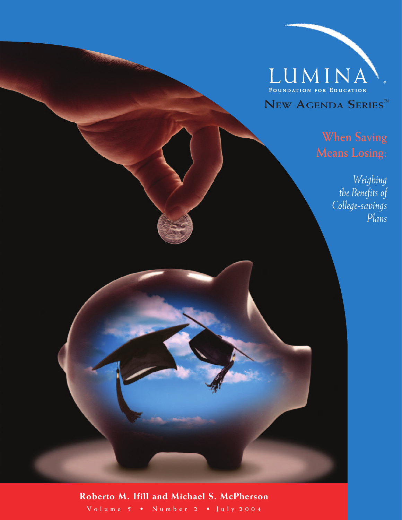

#### **When Saving Means Losing:**

*Weighing the Benefits of College-savings Plans*

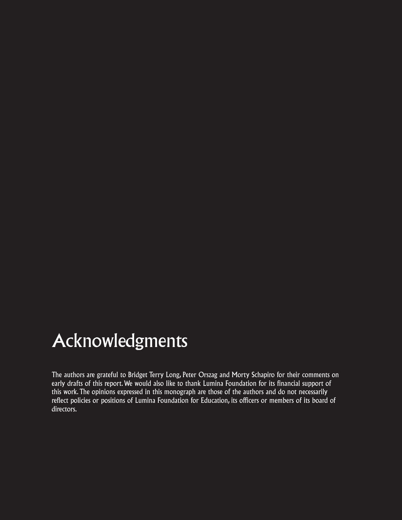### Acknowledgments

The authors are grateful to Bridget Terry Long, Peter Orszag and Morty Schapiro for their comments on early drafts of this report. We would also like to thank Lumina Foundation for its financial support of this work. The opinions expressed in this monograph are those of the authors and do not necessarily reflect policies or positions of Lumina Foundation for Education, its officers or members of its board of directors.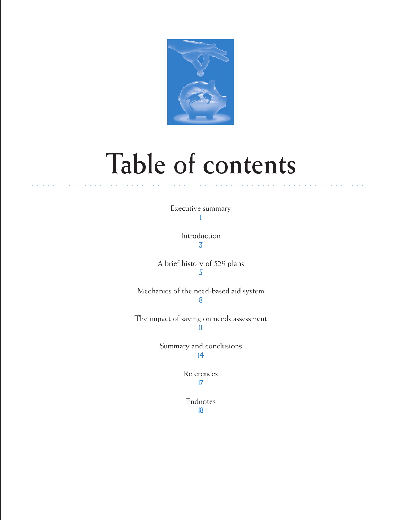

## **Table of contents**

○○○○○○○○○○ ○○○○○○○○○○○○○○○○○○○○○○○○○○○○○○○○○○○○○○○○○○○○○○○○○○○○○○○

Executive summary 1

> Introduction 3

A brief history of 529 plans 5

Mechanics of the need-based aid system 8

The impact of saving on needs assessment 11

> Summary and conclusions 14

> > References 17

Endnotes 18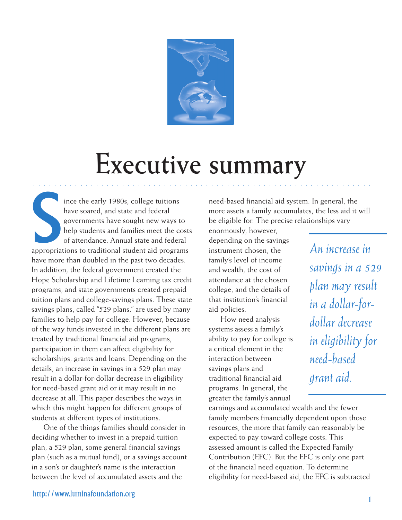

### **Executive summary**

○○○○○○○○○ ○○○○○○○○○○○○○○○○○○○○○○○○○○○○○○○○○○○○○○○○○○○○○○○○○○○○○○○○

ince the early 1980s, college tuitions<br>have soared, and state and federal<br>governments have sought new ways to<br>help students and families meet the cost<br>of attendance. Annual state and federal<br>appropriations to traditional s ince the early 1980s, college tuitions have soared, and state and federal governments have sought new ways to help students and families meet the costs of attendance. Annual state and federal have more than doubled in the past two decades. In addition, the federal government created the Hope Scholarship and Lifetime Learning tax credit programs, and state governments created prepaid tuition plans and college-savings plans. These state savings plans, called "529 plans," are used by many families to help pay for college. However, because of the way funds invested in the different plans are treated by traditional financial aid programs, participation in them can affect eligibility for scholarships, grants and loans. Depending on the details, an increase in savings in a 529 plan may result in a dollar-for-dollar decrease in eligibility for need-based grant aid or it may result in no decrease at all. This paper describes the ways in which this might happen for different groups of students at different types of institutions.

One of the things families should consider in deciding whether to invest in a prepaid tuition plan, a 529 plan, some general financial savings plan (such as a mutual fund), or a savings account in a son's or daughter's name is the interaction between the level of accumulated assets and the

need-based financial aid system. In general, the more assets a family accumulates, the less aid it will be eligible for. The precise relationships vary

enormously, however, depending on the savings instrument chosen, the family's level of income and wealth, the cost of attendance at the chosen college, and the details of that institution's financial aid policies.

How need analysis systems assess a family's ability to pay for college is a critical element in the interaction between savings plans and traditional financial aid programs. In general, the greater the family's annual

*An increase in savings in a 529 plan may result in a dollar-fordollar decrease in eligibility for need-based grant aid.*

earnings and accumulated wealth and the fewer family members financially dependent upon those resources, the more that family can reasonably be expected to pay toward college costs. This assessed amount is called the Expected Family Contribution (EFC). But the EFC is only one part of the financial need equation. To determine eligibility for need-based aid, the EFC is subtracted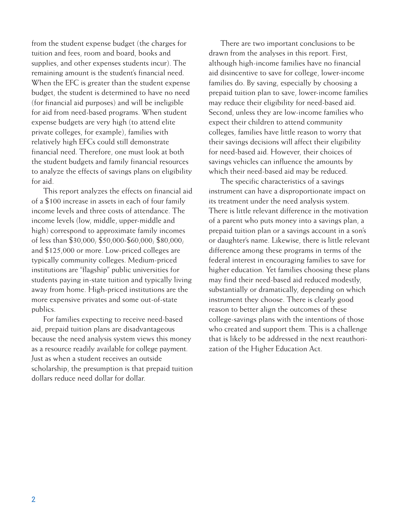from the student expense budget (the charges for tuition and fees, room and board, books and supplies, and other expenses students incur). The remaining amount is the student's financial need. When the EFC is greater than the student expense budget, the student is determined to have no need (for financial aid purposes) and will be ineligible for aid from need-based programs. When student expense budgets are very high (to attend elite private colleges, for example), families with relatively high EFCs could still demonstrate financial need. Therefore, one must look at both the student budgets and family financial resources to analyze the effects of savings plans on eligibility for aid.

This report analyzes the effects on financial aid of a \$100 increase in assets in each of four family income levels and three costs of attendance. The income levels (low, middle, upper-middle and high) correspond to approximate family incomes of less than \$30,000; \$50,000-\$60,000; \$80,000; and \$125,000 or more. Low-priced colleges are typically community colleges. Medium-priced institutions are "flagship" public universities for students paying in-state tuition and typically living away from home. High-priced institutions are the more expensive privates and some out-of-state publics.

For families expecting to receive need-based aid, prepaid tuition plans are disadvantageous because the need analysis system views this money as a resource readily available for college payment. Just as when a student receives an outside scholarship, the presumption is that prepaid tuition dollars reduce need dollar for dollar.

There are two important conclusions to be drawn from the analyses in this report. First, although high-income families have no financial aid disincentive to save for college, lower-income families do. By saving, especially by choosing a prepaid tuition plan to save, lower-income families may reduce their eligibility for need-based aid. Second, unless they are low-income families who expect their children to attend community colleges, families have little reason to worry that their savings decisions will affect their eligibility for need-based aid. However, their choices of savings vehicles can influence the amounts by which their need-based aid may be reduced.

The specific characteristics of a savings instrument can have a disproportionate impact on its treatment under the need analysis system. There is little relevant difference in the motivation of a parent who puts money into a savings plan, a prepaid tuition plan or a savings account in a son's or daughter's name. Likewise, there is little relevant difference among these programs in terms of the federal interest in encouraging families to save for higher education. Yet families choosing these plans may find their need-based aid reduced modestly, substantially or dramatically, depending on which instrument they choose. There is clearly good reason to better align the outcomes of these college-savings plans with the intentions of those who created and support them. This is a challenge that is likely to be addressed in the next reauthorization of the Higher Education Act.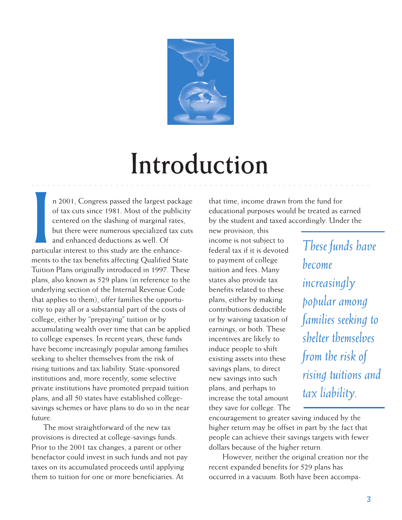

## **Introduction**

○○○○○○○○○○ ○○○○○○○○○○○○○○○○○○○○○○○○○○○○○○○○○○○○○○○○○○○○○○○○○○○○○○○

n 2001, Congress passed the largest pack<br>of tax cuts since 1981. Most of the public<br>centered on the slashing of marginal rates<br>but there were numerous specialized tax c<br>and enhanced deductions as well. Of<br>particular intere n 2001, Congress passed the largest package of tax cuts since 1981. Most of the publicity centered on the slashing of marginal rates, but there were numerous specialized tax cuts and enhanced deductions as well. Of ments to the tax benefits affecting Qualified State Tuition Plans originally introduced in 1997. These plans, also known as 529 plans (in reference to the underlying section of the Internal Revenue Code that applies to them), offer families the opportunity to pay all or a substantial part of the costs of college, either by "prepaying" tuition or by accumulating wealth over time that can be applied to college expenses. In recent years, these funds have become increasingly popular among families seeking to shelter themselves from the risk of rising tuitions and tax liability. State-sponsored institutions and, more recently, some selective private institutions have promoted prepaid tuition plans, and all 50 states have established collegesavings schemes or have plans to do so in the near future.

The most straightforward of the new tax provisions is directed at college-savings funds. Prior to the 2001 tax changes, a parent or other benefactor could invest in such funds and not pay taxes on its accumulated proceeds until applying them to tuition for one or more beneficiaries. At

that time, income drawn from the fund for educational purposes would be treated as earned by the student and taxed accordingly. Under the

new provision, this income is not subject to federal tax if it is devoted to payment of college tuition and fees. Many states also provide tax benefits related to these plans, either by making contributions deductible or by waiving taxation of earnings, or both. These incentives are likely to induce people to shift existing assets into these savings plans, to direct new savings into such plans, and perhaps to increase the total amount they save for college. The

*These funds have become increasingly popular among families seeking to shelter themselves from the risk of rising tuitions and tax liability.*

encouragement to greater saving induced by the higher return may be offset in part by the fact that people can achieve their savings targets with fewer dollars because of the higher return.

 However, neither the original creation nor the recent expanded benefits for 529 plans has occurred in a vacuum. Both have been accompa-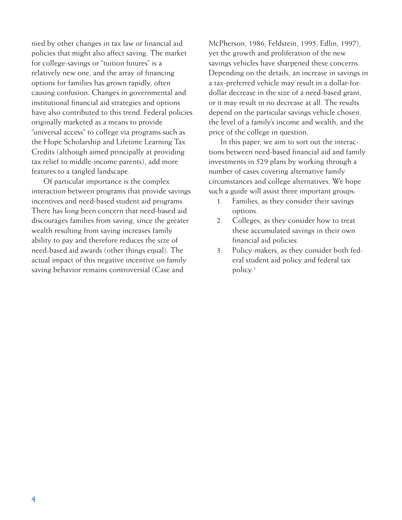nied by other changes in tax law or financial aid policies that might also affect saving. The market for college-savings or "tuition futures" is a relatively new one, and the array of financing options for families has grown rapidly, often causing confusion. Changes in governmental and institutional financial aid strategies and options have also contributed to this trend. Federal policies originally marketed as a means to provide "universal access" to college via programs such as the Hope Scholarship and Lifetime Learning Tax Credits (although aimed principally at providing tax relief to middle-income parents), add more features to a tangled landscape.

Of particular importance is the complex interaction between programs that provide savings incentives and need-based student aid programs. There has long been concern that need-based aid discourages families from saving, since the greater wealth resulting from saving increases family ability to pay and therefore reduces the size of need-based aid awards (other things equal). The actual impact of this negative incentive on family saving behavior remains controversial (Case and

McPherson, 1986; Feldstein, 1995; Edlin, 1997), yet the growth and proliferation of the new savings vehicles have sharpened these concerns. Depending on the details, an increase in savings in a tax-preferred vehicle may result in a dollar-fordollar decrease in the size of a need-based grant, or it may result in no decrease at all. The results depend on the particular savings vehicle chosen, the level of a family's income and wealth, and the price of the college in question.

In this paper, we aim to sort out the interactions between need-based financial aid and family investments in 529 plans by working through a number of cases covering alternative family circumstances and college alternatives. We hope such a guide will assist three important groups:

- 1. Families, as they consider their savings options.
- 2. Colleges, as they consider how to treat these accumulated savings in their own financial aid policies.
- 3. Policy-makers, as they consider both federal student aid policy and federal tax policy.1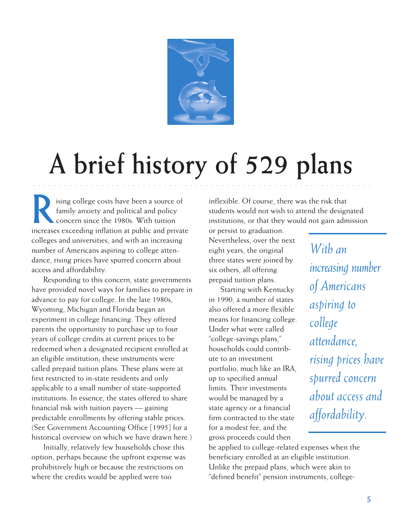

# **A brief history of 529 plans**

○○○○○○○○○ ○○○○○○○○○○○○○○○○○○○○○○○○○○○○○○○○○○○○○○○○○○○○○○○○○○○○○○○○

Ising college costs have been a source of<br>family anxiety and political and policy<br>concern since the 1980s. With tuition family anxiety and political and policy concern since the 1980s. With tuition increases exceeding inflation at public and private colleges and universities, and with an increasing number of Americans aspiring to college attendance, rising prices have spurred concern about access and affordability.

Responding to this concern, state governments have provided novel ways for families to prepare in advance to pay for college. In the late 1980s, Wyoming, Michigan and Florida began an experiment in college financing. They offered parents the opportunity to purchase up to four years of college credits at current prices to be redeemed when a designated recipient enrolled at an eligible institution; these instruments were called prepaid tuition plans. These plans were at first restricted to in-state residents and only applicable to a small number of state-supported institutions. In essence, the states offered to share financial risk with tuition payers — gaining predictable enrollments by offering stable prices. (See Government Accounting Office [1995] for a historical overview on which we have drawn here.)

Initially, relatively few households chose this option, perhaps because the upfront expense was prohibitively high or because the restrictions on where the credits would be applied were too

inflexible. Of course, there was the risk that students would not wish to attend the designated institutions, or that they would not gain admission

or persist to graduation. Nevertheless, over the next eight years, the original three states were joined by six others, all offering prepaid tuition plans.

Starting with Kentucky in 1990, a number of states also offered a more flexible means for financing college. Under what were called "college-savings plans," households could contribute to an investment portfolio, much like an IRA, up to specified annual limits. Their investments would be managed by a state agency or a financial firm contracted to the state for a modest fee, and the gross proceeds could then

*With an increasing number of Americans aspiring to college attendance, rising prices have spurred concern about access and affordability.*

be applied to college-related expenses when the beneficiary enrolled at an eligible institution. Unlike the prepaid plans, which were akin to "defined benefit" pension instruments, college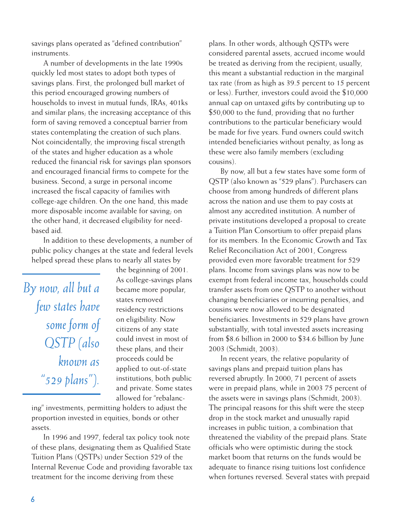savings plans operated as "defined contribution" instruments.

A number of developments in the late 1990s quickly led most states to adopt both types of savings plans. First, the prolonged bull market of this period encouraged growing numbers of households to invest in mutual funds, IRAs, 401ks and similar plans; the increasing acceptance of this form of saving removed a conceptual barrier from states contemplating the creation of such plans. Not coincidentally, the improving fiscal strength of the states and higher education as a whole reduced the financial risk for savings plan sponsors and encouraged financial firms to compete for the business. Second, a surge in personal income increased the fiscal capacity of families with college-age children. On the one hand, this made more disposable income available for saving; on the other hand, it decreased eligibility for needbased aid.

In addition to these developments, a number of public policy changes at the state and federal levels helped spread these plans to nearly all states by

*By now, all but a few states have some form of QSTP (also known as "529 plans").*

the beginning of 2001. As college-savings plans became more popular, states removed residency restrictions on eligibility. Now citizens of any state could invest in most of these plans, and their proceeds could be applied to out-of-state institutions, both public and private. Some states allowed for "rebalanc-

ing" investments, permitting holders to adjust the proportion invested in equities, bonds or other assets.

In 1996 and 1997, federal tax policy took note of these plans, designating them as Qualified State Tuition Plans (QSTPs) under Section 529 of the Internal Revenue Code and providing favorable tax treatment for the income deriving from these

plans. In other words, although QSTPs were considered parental assets, accrued income would be treated as deriving from the recipient; usually, this meant a substantial reduction in the marginal tax rate (from as high as 39.5 percent to 15 percent or less). Further, investors could avoid the \$10,000 annual cap on untaxed gifts by contributing up to \$50,000 to the fund, providing that no further contributions to the particular beneficiary would be made for five years. Fund owners could switch intended beneficiaries without penalty, as long as these were also family members (excluding cousins).

By now, all but a few states have some form of QSTP (also known as "529 plans"). Purchasers can choose from among hundreds of different plans across the nation and use them to pay costs at almost any accredited institution. A number of private institutions developed a proposal to create a Tuition Plan Consortium to offer prepaid plans for its members. In the Economic Growth and Tax Relief Reconciliation Act of 2001, Congress provided even more favorable treatment for 529 plans. Income from savings plans was now to be exempt from federal income tax, households could transfer assets from one QSTP to another without changing beneficiaries or incurring penalties, and cousins were now allowed to be designated beneficiaries. Investments in 529 plans have grown substantially, with total invested assets increasing from \$8.6 billion in 2000 to \$34.6 billion by June 2003 (Schmidt, 2003).

In recent years, the relative popularity of savings plans and prepaid tuition plans has reversed abruptly. In 2000, 71 percent of assets were in prepaid plans, while in 2003 75 percent of the assets were in savings plans (Schmidt, 2003). The principal reasons for this shift were the steep drop in the stock market and unusually rapid increases in public tuition, a combination that threatened the viability of the prepaid plans. State officials who were optimistic during the stock market boom that returns on the funds would be adequate to finance rising tuitions lost confidence when fortunes reversed. Several states with prepaid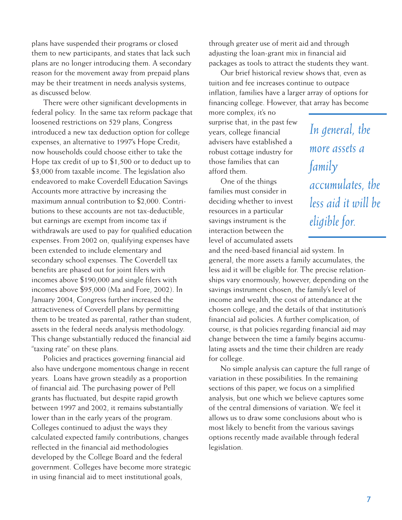plans have suspended their programs or closed them to new participants, and states that lack such plans are no longer introducing them. A secondary reason for the movement away from prepaid plans may be their treatment in needs analysis systems, as discussed below.

There were other significant developments in federal policy. In the same tax reform package that loosened restrictions on 529 plans, Congress introduced a new tax deduction option for college expenses, an alternative to 1997's Hope Credit; now households could choose either to take the Hope tax credit of up to \$1,500 or to deduct up to \$3,000 from taxable income. The legislation also endeavored to make Coverdell Education Savings Accounts more attractive by increasing the maximum annual contribution to \$2,000. Contributions to these accounts are not tax-deductible, but earnings are exempt from income tax if withdrawals are used to pay for qualified education expenses. From 2002 on, qualifying expenses have been extended to include elementary and secondary school expenses. The Coverdell tax benefits are phased out for joint filers with incomes above \$190,000 and single filers with incomes above \$95,000 (Ma and Fore, 2002). In January 2004, Congress further increased the attractiveness of Coverdell plans by permitting them to be treated as parental, rather than student, assets in the federal needs analysis methodology. This change substantially reduced the financial aid "taxing rate" on these plans.

Policies and practices governing financial aid also have undergone momentous change in recent years. Loans have grown steadily as a proportion of financial aid. The purchasing power of Pell grants has fluctuated, but despite rapid growth between 1997 and 2002, it remains substantially lower than in the early years of the program. Colleges continued to adjust the ways they calculated expected family contributions, changes reflected in the financial aid methodologies developed by the College Board and the federal government. Colleges have become more strategic in using financial aid to meet institutional goals,

through greater use of merit aid and through adjusting the loan-grant mix in financial aid packages as tools to attract the students they want.

Our brief historical review shows that, even as tuition and fee increases continue to outpace inflation, families have a larger array of options for financing college. However, that array has become

more complex; it's no surprise that, in the past few years, college financial advisers have established a robust cottage industry for those families that can afford them.

One of the things families must consider in deciding whether to invest resources in a particular savings instrument is the interaction between the level of accumulated assets

*In general, the more assets a family accumulates, the less aid it will be eligible for.*

and the need-based financial aid system. In general, the more assets a family accumulates, the less aid it will be eligible for. The precise relationships vary enormously, however, depending on the savings instrument chosen, the family's level of income and wealth, the cost of attendance at the chosen college, and the details of that institution's financial aid policies. A further complication, of course, is that policies regarding financial aid may change between the time a family begins accumulating assets and the time their children are ready for college.

No simple analysis can capture the full range of variation in these possibilities. In the remaining sections of this paper, we focus on a simplified analysis, but one which we believe captures some of the central dimensions of variation. We feel it allows us to draw some conclusions about who is most likely to benefit from the various savings options recently made available through federal legislation.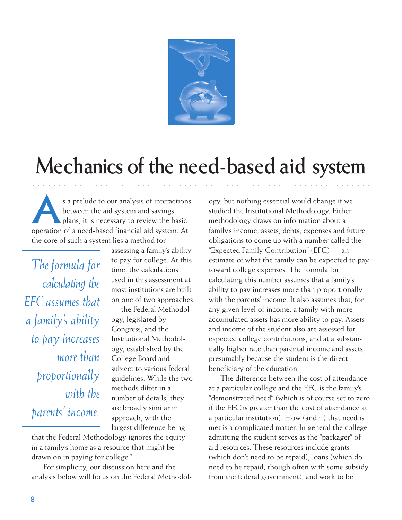

### **Mechanics of the need-based aid system**

○○○○○○○○○○ ○○○○○○○○○○○○○○○○○○○○○○○○○○○○○○○○○○○○○○○○○○○○○○○○○○○○○○○

s a prelude to our analysis of interactions<br>between the aid system and savings<br>plans, it is necessary to review the basic between the aid system and savings operation of a need-based financial aid system. At the core of such a system lies a method for

*The formula for calculating the EFC assumes that a family's ability to pay increases more than proportionally with the parents' income.*

assessing a family's ability to pay for college. At this time, the calculations used in this assessment at most institutions are built on one of two approaches — the Federal Methodology, legislated by Congress, and the Institutional Methodology, established by the College Board and subject to various federal guidelines. While the two methods differ in a number of details, they are broadly similar in approach, with the largest difference being

that the Federal Methodology ignores the equity in a family's home as a resource that might be drawn on in paying for college.<sup>2</sup>

For simplicity, our discussion here and the analysis below will focus on the Federal Methodol-

ogy, but nothing essential would change if we studied the Institutional Methodology. Either methodology draws on information about a family's income, assets, debts, expenses and future obligations to come up with a number called the "Expected Family Contribution" (EFC) — an estimate of what the family can be expected to pay toward college expenses. The formula for calculating this number assumes that a family's ability to pay increases more than proportionally with the parents' income. It also assumes that, for any given level of income, a family with more accumulated assets has more ability to pay. Assets and income of the student also are assessed for expected college contributions, and at a substantially higher rate than parental income and assets, presumably because the student is the direct beneficiary of the education.

The difference between the cost of attendance at a particular college and the EFC is the family's "demonstrated need" (which is of course set to zero if the EFC is greater than the cost of attendance at a particular institution). How (and if) that need is met is a complicated matter. In general the college admitting the student serves as the "packager" of aid resources. These resources include grants (which don't need to be repaid), loans (which do need to be repaid, though often with some subsidy from the federal government), and work to be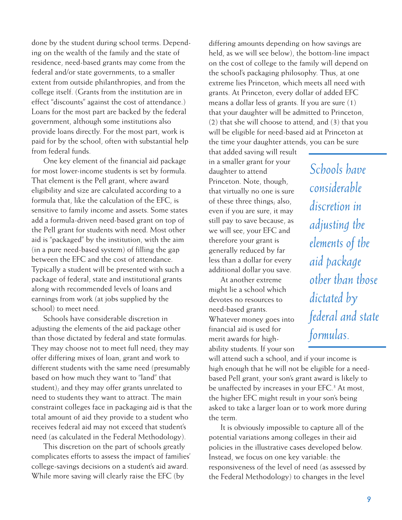done by the student during school terms. Depending on the wealth of the family and the state of residence, need-based grants may come from the federal and/or state governments, to a smaller extent from outside philanthropies, and from the college itself. (Grants from the institution are in effect "discounts" against the cost of attendance.) Loans for the most part are backed by the federal government, although some institutions also provide loans directly. For the most part, work is paid for by the school, often with substantial help from federal funds.

One key element of the financial aid package for most lower-income students is set by formula. That element is the Pell grant, where award eligibility and size are calculated according to a formula that, like the calculation of the EFC, is sensitive to family income and assets. Some states add a formula-driven need-based grant on top of the Pell grant for students with need. Most other aid is "packaged" by the institution, with the aim (in a pure need-based system) of filling the gap between the EFC and the cost of attendance. Typically a student will be presented with such a package of federal, state and institutional grants along with recommended levels of loans and earnings from work (at jobs supplied by the school) to meet need.

Schools have considerable discretion in adjusting the elements of the aid package other than those dictated by federal and state formulas. They may choose not to meet full need; they may offer differing mixes of loan, grant and work to different students with the same need (presumably based on how much they want to "land" that student); and they may offer grants unrelated to need to students they want to attract. The main constraint colleges face in packaging aid is that the total amount of aid they provide to a student who receives federal aid may not exceed that student's need (as calculated in the Federal Methodology).

This discretion on the part of schools greatly complicates efforts to assess the impact of families' college-savings decisions on a student's aid award. While more saving will clearly raise the EFC (by

differing amounts depending on how savings are held, as we will see below), the bottom-line impact on the cost of college to the family will depend on the school's packaging philosophy. Thus, at one extreme lies Princeton, which meets all need with grants. At Princeton, every dollar of added EFC means a dollar less of grants. If you are sure (1) that your daughter will be admitted to Princeton, (2) that she will choose to attend, and (3) that you will be eligible for need-based aid at Princeton at the time your daughter attends, you can be sure

that added saving will result in a smaller grant for your daughter to attend Princeton. Note, though, that virtually no one is sure of these three things; also, even if you are sure, it may still pay to save because, as we will see, your EFC and therefore your grant is generally reduced by far less than a dollar for every additional dollar you save.

At another extreme might lie a school which devotes no resources to need-based grants. Whatever money goes into financial aid is used for merit awards for highability students. If your son

will attend such a school, and if your income is high enough that he will not be eligible for a needbased Pell grant, your son's grant award is likely to be unaffected by increases in your EFC.<sup>3</sup> At most, the higher EFC might result in your son's being asked to take a larger loan or to work more during the term.

It is obviously impossible to capture all of the potential variations among colleges in their aid policies in the illustrative cases developed below. Instead, we focus on one key variable: the responsiveness of the level of need (as assessed by the Federal Methodology) to changes in the level

*Schools have considerable discretion in adjusting the elements of the aid package other than those dictated by federal and state formulas.*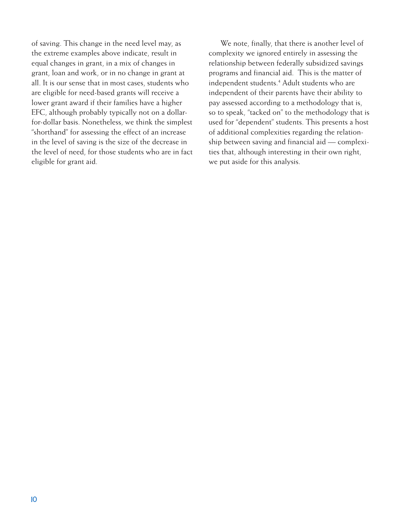of saving. This change in the need level may, as the extreme examples above indicate, result in equal changes in grant, in a mix of changes in grant, loan and work, or in no change in grant at all. It is our sense that in most cases, students who are eligible for need-based grants will receive a lower grant award if their families have a higher EFC, although probably typically not on a dollarfor-dollar basis. Nonetheless, we think the simplest "shorthand" for assessing the effect of an increase in the level of saving is the size of the decrease in the level of need, for those students who are in fact eligible for grant aid.

We note, finally, that there is another level of complexity we ignored entirely in assessing the relationship between federally subsidized savings programs and financial aid. This is the matter of independent students.4 Adult students who are independent of their parents have their ability to pay assessed according to a methodology that is, so to speak, "tacked on" to the methodology that is used for "dependent" students. This presents a host of additional complexities regarding the relationship between saving and financial aid — complexities that, although interesting in their own right, we put aside for this analysis.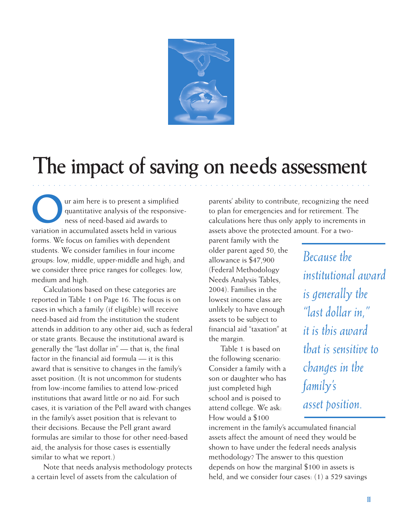

### **The impact of saving on needs assessment**

○○○○○○○○○○ ○○○○○○○○○○○○○○○○○○○○○○○○○○○○○○○○○○○○○○○○○○○○○○○○○○○○○○○

The same state of the responsive state and the state of the responsive state of need-based aid awards to quantitative analysis of the responsiveness of need-based aid awards to variation in accumulated assets held in various forms. We focus on families with dependent students. We consider families in four income groups: low, middle, upper-middle and high; and we consider three price ranges for colleges: low, medium and high.

Calculations based on these categories are reported in Table 1 on Page 16. The focus is on cases in which a family (if eligible) will receive need-based aid from the institution the student attends in addition to any other aid, such as federal or state grants. Because the institutional award is generally the "last dollar in" — that is, the final factor in the financial aid formula — it is this award that is sensitive to changes in the family's asset position. (It is not uncommon for students from low-income families to attend low-priced institutions that award little or no aid. For such cases, it is variation of the Pell award with changes in the family's asset position that is relevant to their decisions. Because the Pell grant award formulas are similar to those for other need-based aid, the analysis for those cases is essentially similar to what we report.)

Note that needs analysis methodology protects a certain level of assets from the calculation of

parents' ability to contribute, recognizing the need to plan for emergencies and for retirement. The calculations here thus only apply to increments in assets above the protected amount. For a two-

parent family with the older parent aged 50, the allowance is \$47,900 (Federal Methodology Needs Analysis Tables, 2004). Families in the lowest income class are unlikely to have enough assets to be subject to financial aid "taxation" at the margin.

Table 1 is based on the following scenario: Consider a family with a son or daughter who has just completed high school and is poised to attend college. We ask: How would a \$100

*Because the institutional award is generally the "last dollar in," it is this award that is sensitive to changes in the family's asset position.*

increment in the family's accumulated financial assets affect the amount of need they would be shown to have under the federal needs analysis methodology? The answer to this question depends on how the marginal \$100 in assets is held, and we consider four cases: (1) a 529 savings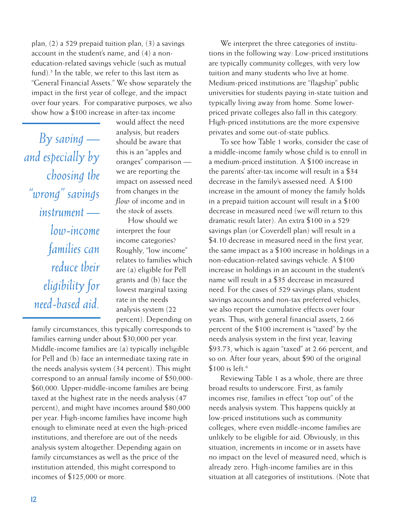plan, (2) a 529 prepaid tuition plan, (3) a savings account in the student's name, and (4) a noneducation-related savings vehicle (such as mutual fund).<sup>5</sup> In the table, we refer to this last item as "General Financial Assets." We show separately the impact in the first year of college, and the impact over four years. For comparative purposes, we also show how a \$100 increase in after-tax income

*By saving and especially by choosing the "wrong" savings instrument low-income families can reduce their eligibility for need-based aid.*

would affect the need analysis, but readers should be aware that this is an "apples and oranges" comparison we are reporting the impact on assessed need from changes in the *flow* of income and in the *stock* of assets.

How should we interpret the four income categories? Roughly, "low income" relates to families which are (a) eligible for Pell grants and (b) face the lowest marginal taxing rate in the needs analysis system (22 percent). Depending on

family circumstances, this typically corresponds to families earning under about \$30,000 per year. Middle-income families are (a) typically ineligible for Pell and (b) face an intermediate taxing rate in the needs analysis system (34 percent). This might correspond to an annual family income of \$50,000- \$60,000. Upper-middle-income families are being taxed at the highest rate in the needs analysis (47 percent), and might have incomes around \$80,000 per year. High-income families have income high enough to eliminate need at even the high-priced institutions, and therefore are out of the needs analysis system altogether. Depending again on family circumstances as well as the price of the institution attended, this might correspond to incomes of \$125,000 or more.

We interpret the three categories of institutions in the following way: Low-priced institutions are typically community colleges, with very low tuition and many students who live at home. Medium-priced institutions are "flagship" public universities for students paying in-state tuition and typically living away from home. Some lowerpriced private colleges also fall in this category. High-priced institutions are the more expensive privates and some out-of-state publics.

To see how Table 1 works, consider the case of a middle-income family whose child is to enroll in a medium-priced institution. A \$100 increase in the parents' after-tax income will result in a \$34 decrease in the family's assessed need. A \$100 increase in the amount of money the family holds in a prepaid tuition account will result in a \$100 decrease in measured need (we will return to this dramatic result later). An extra \$100 in a 529 savings plan (or Coverdell plan) will result in a \$4.10 decrease in measured need in the first year, the same impact as a \$100 increase in holdings in a non-education-related savings vehicle. A \$100 increase in holdings in an account in the student's name will result in a \$35 decrease in measured need. For the cases of 529 savings plans, student savings accounts and non-tax preferred vehicles, we also report the cumulative effects over four years. Thus, with general financial assets, 2.66 percent of the \$100 increment is "taxed" by the needs analysis system in the first year, leaving \$93.73, which is again "taxed" at 2.66 percent, and so on. After four years, about \$90 of the original \$100 is left.<sup>6</sup>

Reviewing Table 1 as a whole, there are three broad results to underscore. First, as family incomes rise, families in effect "top out" of the needs analysis system. This happens quickly at low-priced institutions such as community colleges, where even middle-income families are unlikely to be eligible for aid. Obviously, in this situation, increments in income or in assets have no impact on the level of measured need, which is already zero. High-income families are in this situation at all categories of institutions. (Note that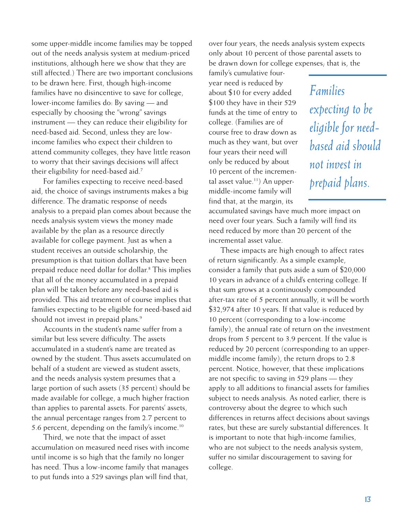some upper-middle income families may be topped out of the needs analysis system at medium-priced institutions, although here we show that they are still affected.) There are two important conclusions to be drawn here. First, though high-income families have no disincentive to save for college, lower-income families do: By saving — and especially by choosing the "wrong" savings instrument — they can reduce their eligibility for need-based aid. Second, unless they are lowincome families who expect their children to attend community colleges, they have little reason to worry that their savings decisions will affect their eligibility for need-based aid.<sup>7</sup>

For families expecting to receive need-based aid, the choice of savings instruments makes a big difference. The dramatic response of needs analysis to a prepaid plan comes about because the needs analysis system views the money made available by the plan as a resource directly available for college payment. Just as when a student receives an outside scholarship, the presumption is that tuition dollars that have been prepaid reduce need dollar for dollar.8 This implies that all of the money accumulated in a prepaid plan will be taken before any need-based aid is provided. This aid treatment of course implies that families expecting to be eligible for need-based aid should not invest in prepaid plans.<sup>9</sup>

Accounts in the student's name suffer from a similar but less severe difficulty. The assets accumulated in a student's name are treated as owned by the student. Thus assets accumulated on behalf of a student are viewed as student assets, and the needs analysis system presumes that a large portion of such assets (35 percent) should be made available for college, a much higher fraction than applies to parental assets. For parents' assets, the annual percentage ranges from 2.7 percent to 5.6 percent, depending on the family's income.10

Third, we note that the impact of asset accumulation on measured need rises with income until income is so high that the family no longer has need. Thus a low-income family that manages to put funds into a 529 savings plan will find that,

over four years, the needs analysis system expects only about 10 percent of those parental assets to be drawn down for college expenses; that is, the

family's cumulative fouryear need is reduced by about \$10 for every added \$100 they have in their 529 funds at the time of entry to college. (Families are of course free to draw down as much as they want, but over four years their need will only be reduced by about 10 percent of the incremental asset value.<sup>11</sup>) An uppermiddle-income family will find that, at the margin, its

*Families expecting to be eligible for needbased aid should not invest in prepaid plans.*

accumulated savings have much more impact on need over four years. Such a family will find its need reduced by more than 20 percent of the incremental asset value.

These impacts are high enough to affect rates of return significantly. As a simple example, consider a family that puts aside a sum of \$20,000 10 years in advance of a child's entering college. If that sum grows at a continuously compounded after-tax rate of 5 percent annually, it will be worth \$32,974 after 10 years. If that value is reduced by 10 percent (corresponding to a low-income family), the annual rate of return on the investment drops from 5 percent to 3.9 percent. If the value is reduced by 20 percent (corresponding to an uppermiddle income family), the return drops to 2.8 percent. Notice, however, that these implications are not specific to saving in 529 plans — they apply to all additions to financial assets for families subject to needs analysis. As noted earlier, there is controversy about the degree to which such differences in returns affect decisions about savings rates, but these are surely substantial differences. It is important to note that high-income families, who are not subject to the needs analysis system, suffer no similar discouragement to saving for college.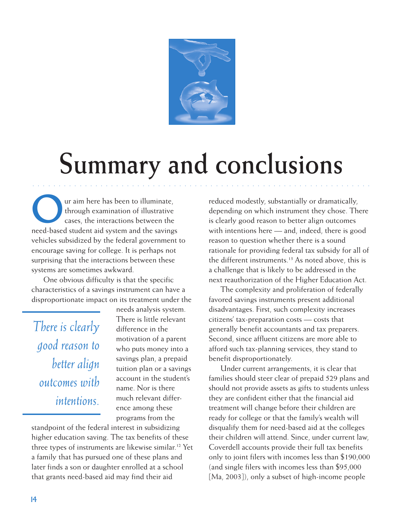

# **Summary and conclusions**

○○○○○○○○○○ ○○○○○○○○○○○○○○○○○○○○○○○○○○○○○○○○○○○○○○○○○○○○○○○○○○○○○○○

Our aim here has been to illuminate,<br>through examination of illustrative<br>cases, the interactions between the through examination of illustrative cases, the interactions between the need-based student aid system and the savings vehicles subsidized by the federal government to encourage saving for college. It is perhaps not surprising that the interactions between these systems are sometimes awkward.

One obvious difficulty is that the specific characteristics of a savings instrument can have a disproportionate impact on its treatment under the

*There is clearly good reason to better align outcomes with intentions.*

needs analysis system. There is little relevant difference in the motivation of a parent who puts money into a savings plan, a prepaid tuition plan or a savings account in the student's name. Nor is there much relevant difference among these programs from the

standpoint of the federal interest in subsidizing higher education saving. The tax benefits of these three types of instruments are likewise similar.12 Yet a family that has pursued one of these plans and later finds a son or daughter enrolled at a school that grants need-based aid may find their aid

reduced modestly, substantially or dramatically, depending on which instrument they chose. There is clearly good reason to better align outcomes with intentions here — and, indeed, there is good reason to question whether there is a sound rationale for providing federal tax subsidy for all of the different instruments.<sup>13</sup> As noted above, this is a challenge that is likely to be addressed in the next reauthorization of the Higher Education Act.

The complexity and proliferation of federally favored savings instruments present additional disadvantages. First, such complexity increases citizens' tax-preparation costs — costs that generally benefit accountants and tax preparers. Second, since affluent citizens are more able to afford such tax-planning services, they stand to benefit disproportionately.

Under current arrangements, it is clear that families should steer clear of prepaid 529 plans and should not provide assets as gifts to students unless they are confident either that the financial aid treatment will change before their children are ready for college or that the family's wealth will disqualify them for need-based aid at the colleges their children will attend. Since, under current law, Coverdell accounts provide their full tax benefits only to joint filers with incomes less than \$190,000 (and single filers with incomes less than \$95,000 [Ma, 2003]), only a subset of high-income people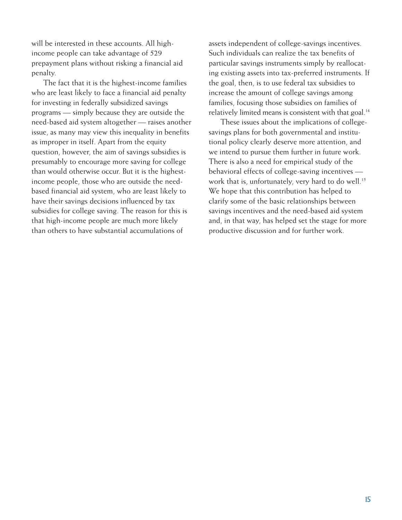will be interested in these accounts. All highincome people can take advantage of 529 prepayment plans without risking a financial aid penalty.

The fact that it is the highest-income families who are least likely to face a financial aid penalty for investing in federally subsidized savings programs — simply because they are outside the need-based aid system altogether — raises another issue, as many may view this inequality in benefits as improper in itself. Apart from the equity question, however, the aim of savings subsidies is presumably to encourage more saving for college than would otherwise occur. But it is the highestincome people, those who are outside the needbased financial aid system, who are least likely to have their savings decisions influenced by tax subsidies for college saving. The reason for this is that high-income people are much more likely than others to have substantial accumulations of

assets independent of college-savings incentives. Such individuals can realize the tax benefits of particular savings instruments simply by reallocating existing assets into tax-preferred instruments. If the goal, then, is to use federal tax subsidies to increase the amount of college savings among families, focusing those subsidies on families of relatively limited means is consistent with that goal.<sup>14</sup>

These issues about the implications of collegesavings plans for both governmental and institutional policy clearly deserve more attention, and we intend to pursue them further in future work. There is also a need for empirical study of the behavioral effects of college-saving incentives work that is, unfortunately, very hard to do well.<sup>15</sup> We hope that this contribution has helped to clarify some of the basic relationships between savings incentives and the need-based aid system and, in that way, has helped set the stage for more productive discussion and for further work.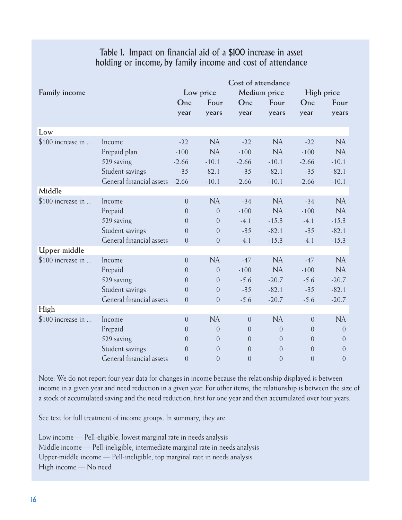#### Table 1. Impact on financial aid of a \$100 increase in asset holding or income, by family income and cost of attendance

|                    |                          | Cost of attendance |                |                |                |                |                |
|--------------------|--------------------------|--------------------|----------------|----------------|----------------|----------------|----------------|
| Family income      |                          | Low price          |                | Medium price   |                | High price     |                |
|                    |                          | One                | Four           | One            | Four           | One            | Four           |
|                    |                          | year               | years          | year           | years          | year           | years          |
|                    |                          |                    |                |                |                |                |                |
| Low                |                          |                    |                |                |                |                |                |
| \$100 increase in  | Income                   | $-22$              | NA             | $-22$          | NA             | $-22$          | NA             |
|                    | Prepaid plan             | $-100$             | <b>NA</b>      | $-100$         | <b>NA</b>      | $-100$         | <b>NA</b>      |
|                    | 529 saving               | $-2.66$            | $-10.1$        | $-2.66$        | $-10.1$        | $-2.66$        | $-10.1$        |
|                    | Student savings          | $-35$              | $-82.1$        | $-35$          | $-82.1$        | $-35$          | $-82.1$        |
|                    | General financial assets | $-2.66$            | $-10.1$        | $-2.66$        | $-10.1$        | $-2.66$        | $-10.1$        |
| Middle             |                          |                    |                |                |                |                |                |
| $$100$ increase in | Income                   | $\overline{0}$     | NA             | $-34$          | NA             | $-34$          | <b>NA</b>      |
|                    | Prepaid                  | $\overline{0}$     | $\overline{0}$ | $-100$         | <b>NA</b>      | $-100$         | NA             |
|                    | 529 saving               | $\Omega$           | $\Omega$       | $-4.1$         | $-15.3$        | $-4.1$         | $-15.3$        |
|                    | Student savings          | $\theta$           | $\overline{0}$ | $-35$          | $-82.1$        | $-35$          | $-82.1$        |
|                    | General financial assets | $\Omega$           | $\overline{0}$ | $-4.1$         | $-15.3$        | $-4.1$         | $-15.3$        |
| Upper-middle       |                          |                    |                |                |                |                |                |
| \$100 increase in  | Income                   | $\overline{0}$     | NA             | $-47$          | NA             | $-47$          | NA             |
|                    | Prepaid                  | $\Omega$           | $\overline{0}$ | $-100$         | <b>NA</b>      | $-100$         | <b>NA</b>      |
|                    | 529 saving               | $\Omega$           | $\overline{0}$ | $-5.6$         | $-20.7$        | $-5.6$         | $-20.7$        |
|                    | Student savings          | $\theta$           | $\overline{0}$ | $-35$          | $-82.1$        | $-35$          | $-82.1$        |
|                    | General financial assets | $\overline{0}$     | $\overline{0}$ | $-5.6$         | $-20.7$        | $-5.6$         | $-20.7$        |
| High               |                          |                    |                |                |                |                |                |
| \$100 increase in  | Income                   | $\Omega$           | <b>NA</b>      | $\overline{0}$ | <b>NA</b>      | $\Omega$       | NA             |
|                    | Prepaid                  | $\overline{0}$     | $\overline{0}$ | $\overline{0}$ | $\overline{0}$ | $\overline{0}$ | $\overline{0}$ |
|                    | 529 saving               | $\Omega$           | $\Omega$       | $\Omega$       | $\overline{0}$ | $\Omega$       | $\overline{0}$ |
|                    | Student savings          | $\theta$           | $\Omega$       | $\Omega$       | $\overline{0}$ | $\Omega$       | $\Omega$       |
|                    | General financial assets | $\overline{0}$     | $\overline{0}$ | $\mathbf{0}$   | $\mathbf{0}$   | $\overline{0}$ | $\theta$       |

Note: We do not report four-year data for changes in income because the relationship displayed is between income in a given year and need reduction in a given year. For other items, the relationship is between the size of a stock of accumulated saving and the need reduction, first for one year and then accumulated over four years.

See text for full treatment of income groups. In summary, they are:

Low income — Pell-eligible, lowest marginal rate in needs analysis Middle income — Pell-ineligible, intermediate marginal rate in needs analysis Upper-middle income — Pell-ineligible, top marginal rate in needs analysis High income — No need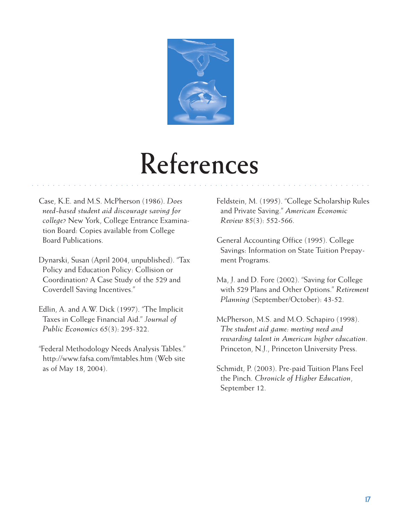

## **References**

○○○○○○○○○○ ○○○○○○○○○○○○○○○○○○○○○○○○○○○○○○○○○○○○○○○○○○○○○○○○○○○○○○○

- Case, K.E. and M.S. McPherson (1986). *Does need-based student aid discourage saving for college?* New York, College Entrance Examination Board: Copies available from College Board Publications.
- Dynarski, Susan (April 2004, unpublished). "Tax Policy and Education Policy: Collision or Coordination? A Case Study of the 529 and Coverdell Saving Incentives."
- Edlin, A. and A.W. Dick (1997). "The Implicit Taxes in College Financial Aid." *Journal of Public Economics* 65(3): 295-322.
- "Federal Methodology Needs Analysis Tables." http://www.fafsa.com/fmtables.htm (Web site as of May 18, 2004).

Feldstein, M. (1995). "College Scholarship Rules and Private Saving." *American Economic Review* 85(3): 552-566.

- General Accounting Office (1995). College Savings: Information on State Tuition Prepayment Programs.
- Ma, J. and D. Fore (2002). "Saving for College with 529 Plans and Other Options." *Retirement Planning* (September/October): 43-52.
- McPherson, M.S. and M.O. Schapiro (1998). *The student aid game: meeting need and rewarding talent in American higher education*. Princeton, N.J., Princeton University Press.
- Schmidt, P. (2003). Pre-paid Tuition Plans Feel the Pinch. *Chronicle of Higher Education*, September 12.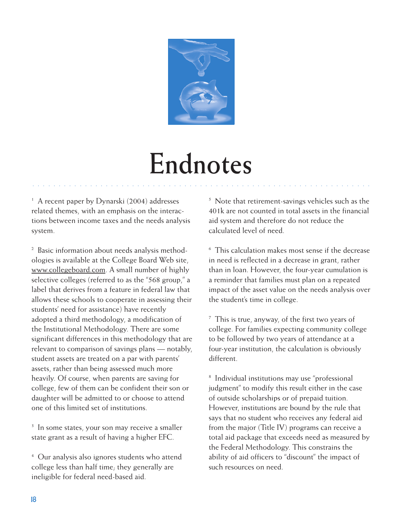

## **Endnotes**

○○○○○○○○○○ ○○○○○○○○○○○○○○○○○○○○○○○○○○○○○○○○○○○○○○○○○○○○○○○○○○○○○○○

<sup>1</sup> A recent paper by Dynarski (2004) addresses related themes, with an emphasis on the interactions between income taxes and the needs analysis system.

2 Basic information about needs analysis methodologies is available at the College Board Web site, www.collegeboard.com. A small number of highly selective colleges (referred to as the "568 group," a label that derives from a feature in federal law that allows these schools to cooperate in assessing their students' need for assistance) have recently adopted a third methodology, a modification of the Institutional Methodology. There are some significant differences in this methodology that are relevant to comparison of savings plans — notably, student assets are treated on a par with parents' assets, rather than being assessed much more heavily. Of course, when parents are saving for college, few of them can be confident their son or daughter will be admitted to or choose to attend one of this limited set of institutions.

<sup>3</sup> In some states, your son may receive a smaller state grant as a result of having a higher EFC.

4 Our analysis also ignores students who attend college less than half time; they generally are ineligible for federal need-based aid.

<sup>5</sup> Note that retirement-savings vehicles such as the 401k are not counted in total assets in the financial aid system and therefore do not reduce the calculated level of need.

6 This calculation makes most sense if the decrease in need is reflected in a decrease in grant, rather than in loan. However, the four-year cumulation is a reminder that families must plan on a repeated impact of the asset value on the needs analysis over the student's time in college.

 $7$  This is true, anyway, of the first two years of college. For families expecting community college to be followed by two years of attendance at a four-year institution, the calculation is obviously different.

8 Individual institutions may use "professional judgment" to modify this result either in the case of outside scholarships or of prepaid tuition. However, institutions are bound by the rule that says that no student who receives any federal aid from the major (Title IV) programs can receive a total aid package that exceeds need as measured by the Federal Methodology. This constrains the ability of aid officers to "discount" the impact of such resources on need.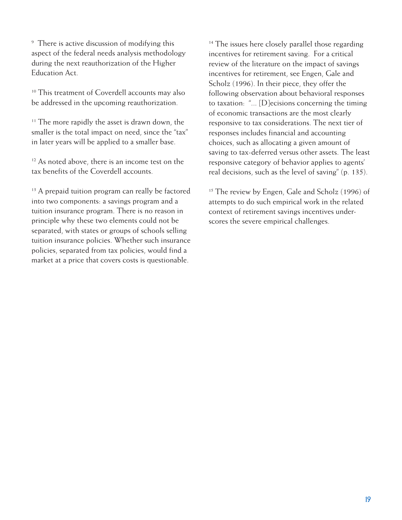<sup>9</sup> There is active discussion of modifying this aspect of the federal needs analysis methodology during the next reauthorization of the Higher Education Act.

<sup>10</sup> This treatment of Coverdell accounts may also be addressed in the upcoming reauthorization.

<sup>11</sup> The more rapidly the asset is drawn down, the smaller is the total impact on need, since the "tax" in later years will be applied to a smaller base.

<sup>12</sup> As noted above, there is an income test on the tax benefits of the Coverdell accounts.

<sup>13</sup> A prepaid tuition program can really be factored into two components: a savings program and a tuition insurance program. There is no reason in principle why these two elements could not be separated, with states or groups of schools selling tuition insurance policies. Whether such insurance policies, separated from tax policies, would find a market at a price that covers costs is questionable.

<sup>14</sup> The issues here closely parallel those regarding incentives for retirement saving. For a critical review of the literature on the impact of savings incentives for retirement, see Engen, Gale and Scholz (1996). In their piece, they offer the following observation about behavioral responses to taxation: "... [D]ecisions concerning the timing of economic transactions are the most clearly responsive to tax considerations. The next tier of responses includes financial and accounting choices, such as allocating a given amount of saving to tax-deferred versus other assets. The least responsive category of behavior applies to agents' real decisions, such as the level of saving" (p. 135).

<sup>15</sup> The review by Engen, Gale and Scholz (1996) of attempts to do such empirical work in the related context of retirement savings incentives underscores the severe empirical challenges.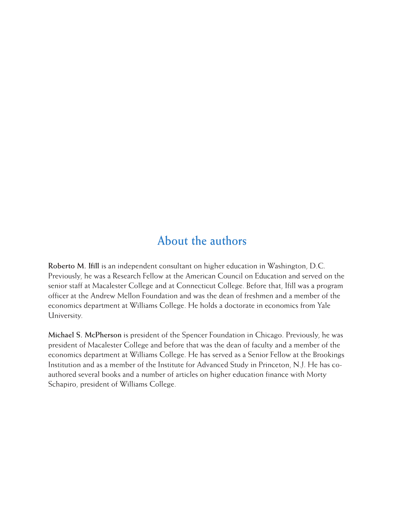#### **About the authors**

**Roberto M. Ifill** is an independent consultant on higher education in Washington, D.C. Previously, he was a Research Fellow at the American Council on Education and served on the senior staff at Macalester College and at Connecticut College. Before that, Ifill was a program officer at the Andrew Mellon Foundation and was the dean of freshmen and a member of the economics department at Williams College. He holds a doctorate in economics from Yale University.

**Michael S. McPherson** is president of the Spencer Foundation in Chicago. Previously, he was president of Macalester College and before that was the dean of faculty and a member of the economics department at Williams College. He has served as a Senior Fellow at the Brookings Institution and as a member of the Institute for Advanced Study in Princeton, N.J. He has coauthored several books and a number of articles on higher education finance with Morty Schapiro, president of Williams College.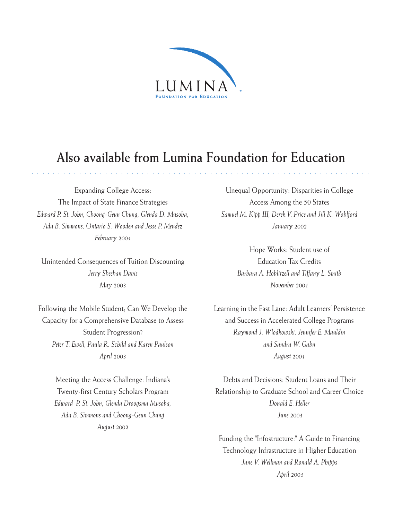

#### **Also available from Lumina Foundation for Education**

○○○○○○○○○○ ○○○○○○○○○○○○○○○○○○○○○○○○○○○○○○○○○○○○○○○○○○○○○○○○○○○○○○○

Expanding College Access: The Impact of State Finance Strategies *Edward P. St. John, Choong-Geun Chung, Glenda D. Musoba, Ada B. Simmons, Ontario S. Wooden and Jesse P. Mendez February 2004*

Unintended Consequences of Tuition Discounting *Jerry Sheehan Davis May 2003*

Following the Mobile Student; Can We Develop the Capacity for a Comprehensive Database to Assess Student Progression? *Peter T. Ewell, Paula R. Schild and Karen Paulson April 2003*

> Meeting the Access Challenge: Indiana's Twenty-first Century Scholars Program *Edward P. St. John, Glenda Droogsma Musoba, Ada B. Simmons and Choong-Geun Chung August 2002*

Unequal Opportunity: Disparities in College Access Among the 50 States *Samuel M. Kipp III, Derek V. Price and Jill K. Wohlford January 2002*

> Hope Works: Student use of Education Tax Credits *Barbara A. Hoblitzell and Tiffany L. Smith November 2001*

Learning in the Fast Lane: Adult Learners' Persistence and Success in Accelerated College Programs *Raymond J. Wlodkowski, Jennifer E. Mauldin and Sandra W. Gahn August 2001*

Debts and Decisions: Student Loans and Their Relationship to Graduate School and Career Choice *Donald E. Heller June 2001*

Funding the "Infostructure:" A Guide to Financing Technology Infrastructure in Higher Education *Jane V. Wellman and Ronald A. Phipps April 2001*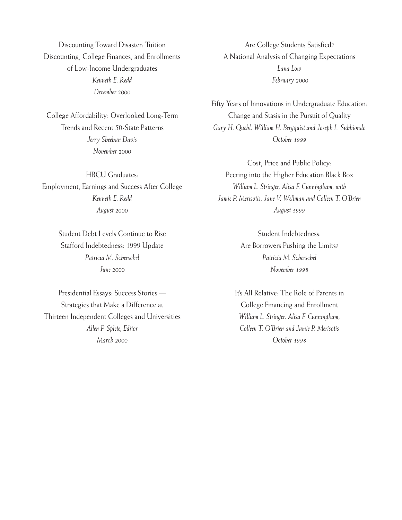Discounting Toward Disaster: Tuition Discounting, College Finances, and Enrollments of Low-Income Undergraduates *Kenneth E. Redd December 2000*

College Affordability: Overlooked Long-Term Trends and Recent 50-State Patterns *Jerry Sheehan Davis November 2000*

HBCU Graduates: Employment, Earnings and Success After College *Kenneth E. Redd August 2000*

> Student Debt Levels Continue to Rise Stafford Indebtedness: 1999 Update *Patricia M. Scherschel June 2000*

Presidential Essays: Success Stories — Strategies that Make a Difference at Thirteen Independent Colleges and Universities *Allen P. Splete, Editor March 2000*

Are College Students Satisfied? A National Analysis of Changing Expectations *Lana Low February 2000*

Fifty Years of Innovations in Undergraduate Education: Change and Stasis in the Pursuit of Quality *Gary H. Quehl, William H. Bergquist and Joseph L. Subbiondo October 1999*

Cost, Price and Public Policy: Peering into the Higher Education Black Box *William L. Stringer, Alisa F. Cunningham, with Jamie P. Merisotis, Jane V. Wellman and Colleen T. O'Brien August 1999*

> Student Indebtedness: Are Borrowers Pushing the Limits? *Patricia M. Scherschel November 1998*

It's All Relative: The Role of Parents in College Financing and Enrollment *William L. Stringer, Alisa F. Cunningham, Colleen T. O'Brien and Jamie P. Merisotis October 1998*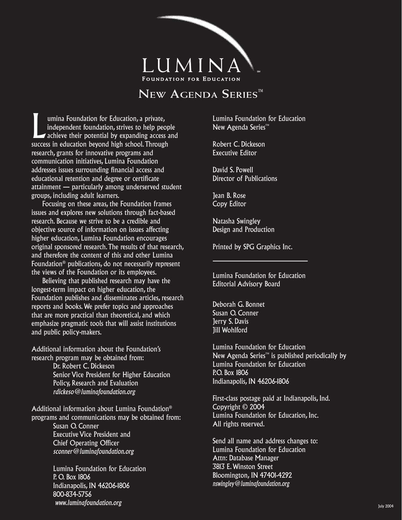

#### **NEW AGENDA SERIES™**

umina Foundation for Education, a private,<br>
independent foundation, strives to help people<br>
achieve their potential by expanding access and<br>
suggest in advertise here a high select Through independent foundation, strives to help people success in education beyond high school. Through research, grants for innovative programs and communication initiatives, Lumina Foundation addresses issues surrounding financial access and educational retention and degree or certificate attainment — particularly among underserved student groups, including adult learners.

 Focusing on these areas, the Foundation frames issues and explores new solutions through fact-based research. Because we strive to be a credible and objective source of information on issues affecting higher education, Lumina Foundation encourages original sponsored research. The results of that research, and therefore the content of this and other Lumina Foundation® publications, do not necessarily represent the views of the Foundation or its employees.

 Believing that published research may have the longest-term impact on higher education, the Foundation publishes and disseminates articles, research reports and books. We prefer topics and approaches that are more practical than theoretical, and which emphasize pragmatic tools that will assist institutions and public policy-makers.

Additional information about the Foundation's research program may be obtained from:

> Dr. Robert C. Dickeson Senior Vice President for Higher Education Policy, Research and Evaluation *rdickeso@luminafoundation.org*

Additional information about Lumina Foundation® programs and communications may be obtained from: Susan O. Conner Executive Vice President and Chief Operating Officer *sconner@luminafoundation.org*

> Lumina Foundation for Education P. O. Box 1806 Indianapolis, IN 46206-1806 800-834-5756 *www.luminafoundation.org*

Lumina Foundation for Education New Agenda Series™

Robert C. Dickeson Executive Editor

David S. Powell Director of Publications

Jean B. Rose Copy Editor

Natasha Swingley Design and Production

Printed by SPG Graphics Inc.

Lumina Foundation for Education Editorial Advisory Board

Deborah G. Bonnet Susan O. Conner Jerry S. Davis Jill Wohlford

Lumina Foundation for Education New Agenda Series™ is published periodically by Lumina Foundation for Education P.O. Box 1806 Indianapolis, IN 46206-1806

First-class postage paid at Indianapolis, Ind. Copyright © 2004 Lumina Foundation for Education, Inc. All rights reserved.

Send all name and address changes to: Lumina Foundation for Education Attn: Database Manager 3813 E. Winston Street Bloomington, IN 47401-4292 *nswingley@luminafoundation.org*